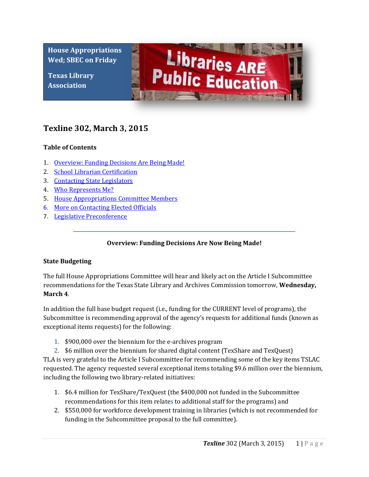**House Appropriations Wed; SBEC on Friday**

**Texas Library Association**



# **Texline 302, March 3, 2015**

## **Table of Contents**

- 1. [Overview: Funding Decisions Are Being Made!](#page-0-0)
- 2. School Librarian Certification
- 3. Contacting State Legislators
- 4. [Who Represents Me?](#page-1-0)
- 5. [House Appropriations Committee Members](#page-2-0)
- 6. More on Contacting Elected Officials
- <span id="page-0-0"></span>7. Legislative Preconference

## **Overview: Funding Decisions Are Now Being Made!**

#### **State Budgeting**

The full House Appropriations Committee will hear and likely act on the Article I Subcommittee recommendations for the Texas State Library and Archives Commission tomorrow, **Wednesday, March 4**.

In addition the full base budget request (i.e., funding for the CURRENT level of programs), the Subcommittee is recommending approval of the agency's requests for additional funds (known as exceptional items requests) for the following:

- 1. \$900,000 over the biennium for the e-archives program
- 2. \$6 million over the biennium for shared digital content (TexShare and TexQuest)

TLA is very grateful to the Article I Subcommittee for recommending some of the key items TSLAC requested. The agency requested several exceptional items totaling \$9.6 million over the biennium, including the following two library-related initiatives:

- 1. \$6.4 million for TexShare/TexQuest (the \$400,000 not funded in the Subcommittee recommendations for this item relates to additional staff for the programs) and
- 2. \$550,000 for workforce development training in libraries (which is not recommended for funding in the Subcommittee proposal to the full committee).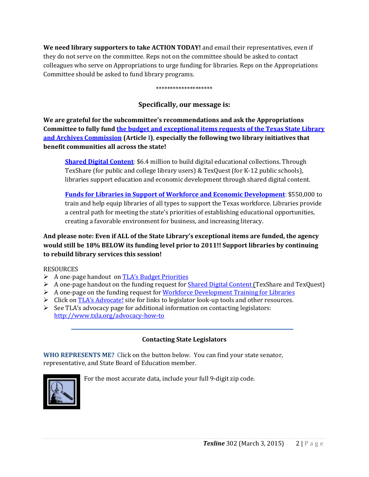**We need library supporters to take ACTION TODAY!** and email their representatives, even if they do not serve on the committee. Reps not on the committee should be asked to contact colleagues who serve on Appropriations to urge funding for libraries. Reps on the Appropriations Committee should be asked to fund library programs.

\*\*\*\*\*\*\*\*\*\*\*\*\*\*\*\*\*\*\*\*

## **Specifically, our message is:**

**We are grateful for the subcommittee's recommendations and ask the Appropriations Committee to fully fund [the budget and exceptional items requests of the Texas State Library](http://www.txla.org/sites/tla/files/Advocate/84th_Library_Budget_Issues.pdf)  [and Archives Commission](http://www.txla.org/sites/tla/files/Advocate/84th_Library_Budget_Issues.pdf) (Article I), especially the following two library initiatives that benefit communities all across the state!**

**[Shared Digital Content](http://www.txla.org/sites/tla/files/Advocate/shareddigitalcontent%20flyer.pdf)**: \$6.4 million to build digital educational collections. Through TexShare (for public and college library users) & TexQuest (for K-12 public schools), libraries support education and economic development through shared digital content.

**[Funds for Libraries in Support of Workforce and Economic Development](http://www.txla.org/sites/tla/files/Advocate/workforce%20flyer.pdf)**: \$550,000 to train and help equip libraries of all types to support the Texas workforce. Libraries provide a central path for meeting the state's priorities of establishing educational opportunities, creating a favorable environment for business, and increasing literacy.

## **And please note: Even if ALL of the State Library's exceptional items are funded, the agency would still be 18% BELOW its funding level prior to 2011!! Support libraries by continuing to rebuild library services this session!**

## RESOURCES

- A one-page handout on [TLA's Budget Priorities](http://www.txla.org/sites/tla/files/Advocate/84th_Library_Budget_Issues.pdf)
- A one-page handout on the funding request for **Shared Digital Content** (TexShare and TexQuest)
- $\triangleright$  A one-page on the funding request for [Workforce Development Training for Libraries](http://www.txla.org/sites/tla/files/Advocate/workforce%20flyer.pdf)
- $\triangleright$  Click on [TLA's Advocate!](http://www.txla.org/take-action) site for links to legislator look-up tools and other resources.
- $\triangleright$  See TLA's advocacy page for additional information on contacting legislators: <http://www.txla.org/advocacy-how-to>

## **Contacting State Legislators**

<span id="page-1-0"></span>**WHO REPRESENTS ME?** Click on the button below. You can find your state senator, representative, and State Board of Education member.



For the most accurate data, include your full 9-digit zip code.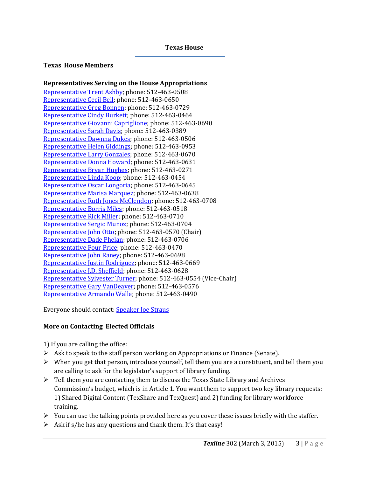#### **Texas House**

#### **Texas House Members**

#### <span id="page-2-0"></span>**Representatives Serving on the House Appropriations**

[Representative Trent Ashby;](mailto:Trent.Ashby@house.state.tx.us) phone: 512-463-0508 [Representative Cecil Bell;](mailto:Cecil.Bell@house.state.tx.us) phone: 512-463-0650 [Representative Greg Bonnen;](mailto:Greg.Bonnen@house.state.tx.us) phone: 512-463-0729 [Representative Cindy Burkett;](mailto:Cindy.Burkett@house.state.tx.us) phone: 512-463-0464 [Representative Giovanni Capriglione;](mailto:Giovanni.Capriglione@house.state.tx.us) phone: 512-463-0690 [Representative Sarah Davis;](mailto:Sarah.Davis@house.state.tx.us) phone: 512-463-0389 [Representative Dawnna Dukes;](mailto:Dawnna.Dukes@house.state.tx.us) phone: 512-463-0506 [Representative Helen Giddings;](mailto:Helen.Giddings@house.state.tx.us) phone: 512-463-0953 [Representative Larry Gonzales;](mailto:Larry.Gonzales@house.state.tx.us) phone: 512-463-0670 [Representative Donna Howard;](mailto:Donna.Howard@house.state.tx.us) phone: 512-463-0631 [Representative Bryan Hughes;](mailto:Bryan.Hughes@house.state.tx.us) phone: 512-463-0271 [Representative Linda Koop;](mailto:Linda.Koop@house.state.tx.us) phone: 512-463-0454 [Representative Oscar Longoria;](mailto:Oscar.Longoria@house.state.tx.us) phone: 512-463-0645 [Representative Marisa Marquez;](mailto:Marisa.Marquez@house.state.tx.us) phone: 512-463-0638 [Representative Ruth Jones McClendon;](mailto:RuthJones.McClendon@house.state.tx.us) phone: 512-463-0708 [Representative Borris Miles;](mailto:Borris.Miles@house.state.tx.us) phone: 512-463-0518 [Representative Rick Miller;](mailto:Rick.Miller@house.state.tx.us) phone: 512-463-0710 [Representative Sergio Munoz;](mailto:Sergio.Munoz@house.state.tx.us) phone: 512-463-0704 [Representative John Otto;](mailto:John.Otto@house.state.tx.us) phone: 512-463-0570 (Chair) [Representative Dade Phelan;](mailto:Dade.Phelan@house.state.tx.us) phone: 512-463-0706 [Representative Four Price;](mailto:Four.Price@house.state.tx.us) phone: 512-463-0470 [Representative John Raney;](mailto:John.Raney@house.state.tx.us) phone: 512-463-0698 [Representative Justin Rodriguez;](mailto:Justin.Rodriguez@house.state.tx.us) phone: 512-463-0669 [Representative J.D. Sheffield;](mailto:J.D.Sheffield@house.state.tx.us) phone: 512-463-0628 [Representative Sylvester Turner;](mailto:Sylvester.Turner@house.state.tx.us) phone: 512-463-0554 (Vice-Chair) [Representative Gary VanDeaver;](mailto:Gary.VanDeaver@house.state.tx.us) phone: 512-463-0576 [Representative Armando Walle;](mailto:Armando.Walle@house.state.tx.us) phone: 512-463-0490

Everyone should contact: [Speaker Joe Straus](mailto:Joe.Straus@house.state.tx.us)

## **More on Contacting Elected Officials**

1) If you are calling the office:

- $\triangleright$  Ask to speak to the staff person working on Appropriations or Finance (Senate).
- $\triangleright$  When you get that person, introduce yourself, tell them you are a constituent, and tell them you are calling to ask for the legislator's support of library funding.
- $\triangleright$  Tell them you are contacting them to discuss the Texas State Library and Archives Commission's budget, which is in Article 1. You want them to support two key library requests: 1) Shared Digital Content (TexShare and TexQuest) and 2) funding for library workforce training.
- $\triangleright$  You can use the talking points provided here as you cover these issues briefly with the staffer.
- $\triangleright$  Ask if s/he has any questions and thank them. It's that easy!